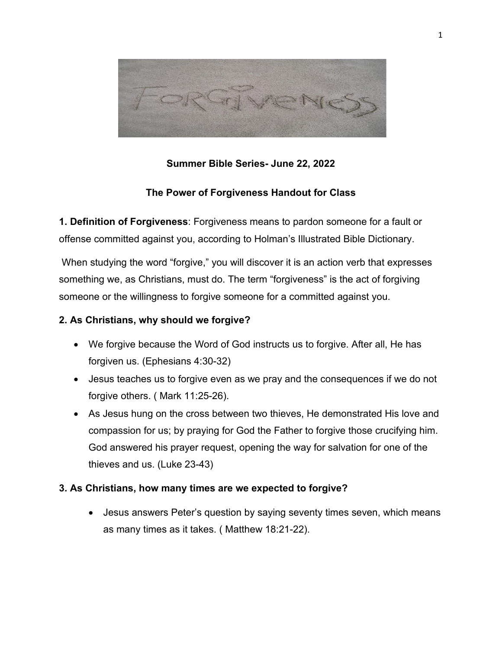

# **Summer Bible Series- June 22, 2022**

### **The Power of Forgiveness Handout for Class**

**1. Definition of Forgiveness**: Forgiveness means to pardon someone for a fault or offense committed against you, according to Holman's Illustrated Bible Dictionary.

When studying the word "forgive," you will discover it is an action verb that expresses something we, as Christians, must do. The term "forgiveness" is the act of forgiving someone or the willingness to forgive someone for a committed against you.

### **2. As Christians, why should we forgive?**

- We forgive because the Word of God instructs us to forgive. After all, He has forgiven us. (Ephesians 4:30-32)
- Jesus teaches us to forgive even as we pray and the consequences if we do not forgive others. ( Mark 11:25-26).
- As Jesus hung on the cross between two thieves, He demonstrated His love and compassion for us; by praying for God the Father to forgive those crucifying him. God answered his prayer request, opening the way for salvation for one of the thieves and us. (Luke 23-43)

#### **3. As Christians, how many times are we expected to forgive?**

• Jesus answers Peter's question by saying seventy times seven, which means as many times as it takes. ( Matthew 18:21-22).